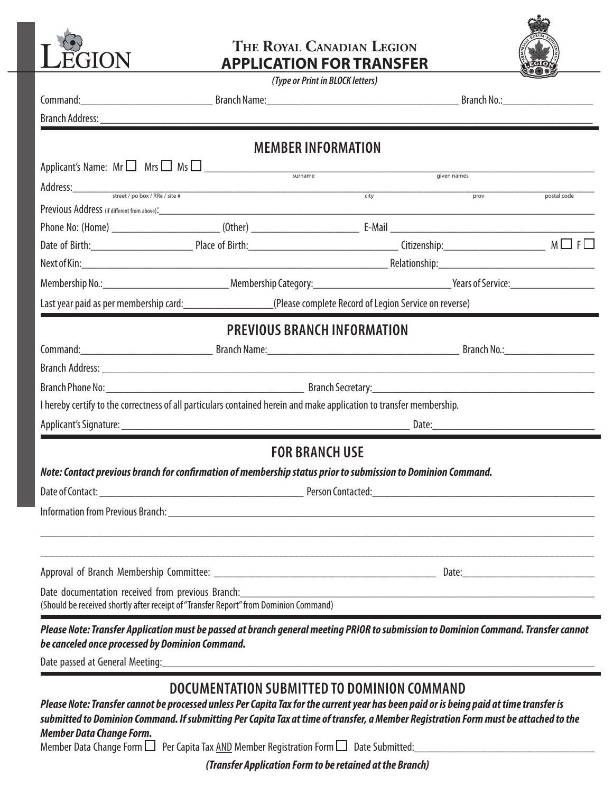

Ē.

E

п

Н

## **The Royal Canadian Legion APPLICATION FOR TRANSFER**





|                                                                                                                                                                                                                           | <b>MEMBER INFORMATION</b>                   |                                                                                                 |                                                                                                                                                                                                                               |             |  |
|---------------------------------------------------------------------------------------------------------------------------------------------------------------------------------------------------------------------------|---------------------------------------------|-------------------------------------------------------------------------------------------------|-------------------------------------------------------------------------------------------------------------------------------------------------------------------------------------------------------------------------------|-------------|--|
| Applicant's Name: $Mr \Box$ Mrs $\Box$ Ms $\Box$                                                                                                                                                                          |                                             |                                                                                                 | given names                                                                                                                                                                                                                   |             |  |
|                                                                                                                                                                                                                           |                                             | $\overline{city}$                                                                               | $\frac{1}{\text{prov}}$                                                                                                                                                                                                       | postal code |  |
|                                                                                                                                                                                                                           |                                             |                                                                                                 |                                                                                                                                                                                                                               |             |  |
|                                                                                                                                                                                                                           |                                             |                                                                                                 |                                                                                                                                                                                                                               |             |  |
|                                                                                                                                                                                                                           |                                             |                                                                                                 |                                                                                                                                                                                                                               |             |  |
|                                                                                                                                                                                                                           |                                             |                                                                                                 |                                                                                                                                                                                                                               |             |  |
|                                                                                                                                                                                                                           |                                             |                                                                                                 |                                                                                                                                                                                                                               |             |  |
|                                                                                                                                                                                                                           |                                             | Last year paid as per membership card:<br>CPlease complete Record of Legion Service on reverse) |                                                                                                                                                                                                                               |             |  |
|                                                                                                                                                                                                                           | <b>PREVIOUS BRANCH INFORMATION</b>          |                                                                                                 |                                                                                                                                                                                                                               |             |  |
|                                                                                                                                                                                                                           |                                             |                                                                                                 |                                                                                                                                                                                                                               |             |  |
|                                                                                                                                                                                                                           |                                             |                                                                                                 |                                                                                                                                                                                                                               |             |  |
|                                                                                                                                                                                                                           |                                             |                                                                                                 |                                                                                                                                                                                                                               |             |  |
| I hereby certify to the correctness of all particulars contained herein and make application to transfer membership.                                                                                                      |                                             |                                                                                                 |                                                                                                                                                                                                                               |             |  |
|                                                                                                                                                                                                                           |                                             |                                                                                                 |                                                                                                                                                                                                                               |             |  |
|                                                                                                                                                                                                                           | <b>FOR BRANCH USE</b>                       |                                                                                                 |                                                                                                                                                                                                                               |             |  |
| Note: Contact previous branch for confirmation of membership status prior to submission to Dominion Command.                                                                                                              |                                             |                                                                                                 |                                                                                                                                                                                                                               |             |  |
|                                                                                                                                                                                                                           |                                             |                                                                                                 |                                                                                                                                                                                                                               |             |  |
|                                                                                                                                                                                                                           |                                             |                                                                                                 |                                                                                                                                                                                                                               |             |  |
|                                                                                                                                                                                                                           |                                             |                                                                                                 |                                                                                                                                                                                                                               |             |  |
|                                                                                                                                                                                                                           |                                             |                                                                                                 |                                                                                                                                                                                                                               |             |  |
|                                                                                                                                                                                                                           |                                             |                                                                                                 | Date: and the contract of the contract of the contract of the contract of the contract of the contract of the contract of the contract of the contract of the contract of the contract of the contract of the contract of the |             |  |
| Date documentation received from previous Branch:<br>(Should be received shortly after receipt of "Transfer Report" from Dominion Command)                                                                                |                                             |                                                                                                 |                                                                                                                                                                                                                               |             |  |
| Please Note: Transfer Application must be passed at branch general meeting PRIOR to submission to Dominion Command. Transfer cannot<br>be canceled once processed by Dominion Command.<br>Date passed at General Meeting: |                                             |                                                                                                 |                                                                                                                                                                                                                               |             |  |
|                                                                                                                                                                                                                           | DOCUMENTATION SUBMITTED TO DOMINION COMMAND |                                                                                                 |                                                                                                                                                                                                                               |             |  |

*Please Note: Transfer cannot be processed unless Per Capita Tax for the current year has been paid or is being paid at time transfer is submitted to Dominion Command. If submitting Per Capita Tax at time of transfer, a Member Registration Form must be attached to the Member Data Change Form.*

Member Data Change Form  $\square$  Per Capita Tax AND Member Registration Form  $\square$  Date Submitted:

*(Transfer Application Form to be retained at the Branch)*